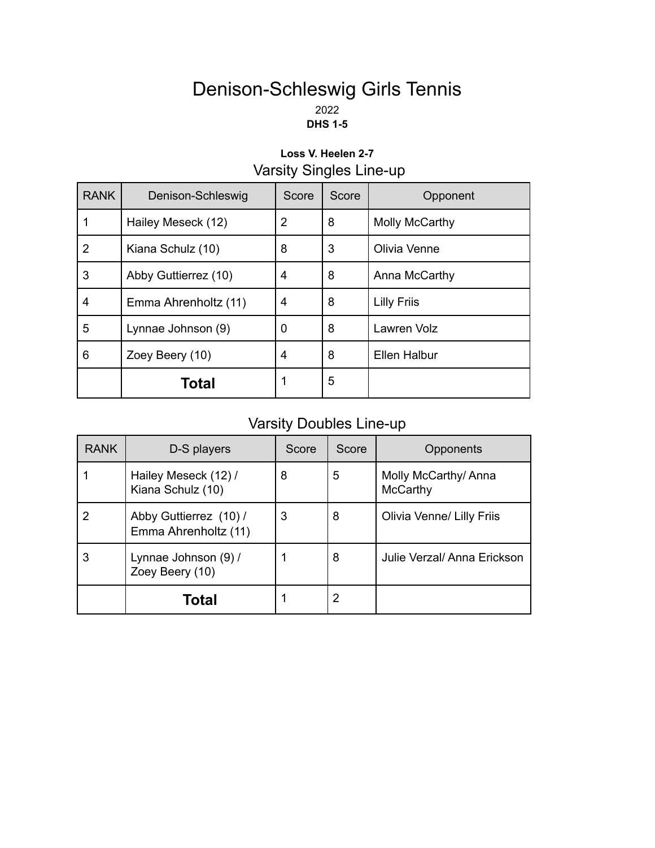### Denison-Schleswig Girls Tennis 2022 **DHS 1-5**

### **Loss V. Heelen 2-7** Varsity Singles Line-up

| <b>RANK</b>    | Denison-Schleswig    | Score          | Score | Opponent            |
|----------------|----------------------|----------------|-------|---------------------|
|                | Hailey Meseck (12)   | $\overline{2}$ | 8     | Molly McCarthy      |
| $\overline{2}$ | Kiana Schulz (10)    | 8              | 3     | Olivia Venne        |
| 3              | Abby Guttierrez (10) | 4              | 8     | Anna McCarthy       |
| 4              | Emma Ahrenholtz (11) | 4              | 8     | <b>Lilly Friis</b>  |
| 5              | Lynnae Johnson (9)   | 0              | 8     | Lawren Volz         |
| 6              | Zoey Beery (10)      | 4              | 8     | <b>Ellen Halbur</b> |
|                | Total                | 1              | 5     |                     |

## Varsity Doubles Line-up

| <b>RANK</b> | D-S players                                    | Score | Score | Opponents                        |
|-------------|------------------------------------------------|-------|-------|----------------------------------|
|             | Hailey Meseck (12) /<br>Kiana Schulz (10)      | 8     | 5     | Molly McCarthy/ Anna<br>McCarthy |
|             | Abby Guttierrez (10) /<br>Emma Ahrenholtz (11) | 3     | 8     | Olivia Venne/ Lilly Friis        |
|             | Lynnae Johnson (9) /<br>Zoey Beery (10)        |       | 8     | Julie Verzal/ Anna Erickson      |
|             | Total                                          |       | 2     |                                  |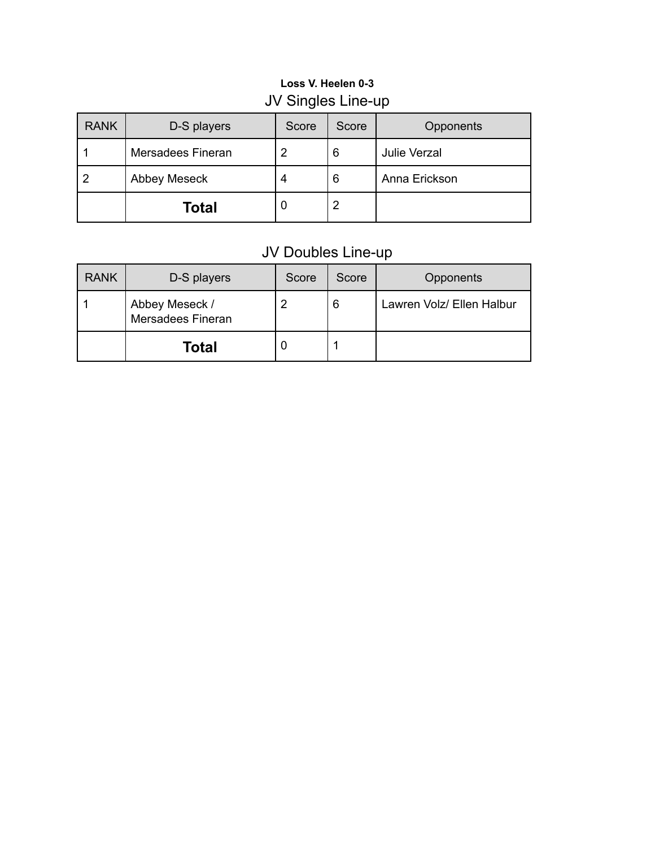### **Loss V. Heelen 0-3** JV Singles Line-up

| <b>RANK</b> | D-S players         | Score | Score | Opponents           |
|-------------|---------------------|-------|-------|---------------------|
|             | Mersadees Fineran   |       | 6     | <b>Julie Verzal</b> |
|             | <b>Abbey Meseck</b> |       | 6     | Anna Erickson       |
|             | <b>Total</b>        | U     | 2     |                     |

## JV Doubles Line-up

| <b>RANK</b> | D-S players                         | Score | Score | <b>Opponents</b>          |
|-------------|-------------------------------------|-------|-------|---------------------------|
|             | Abbey Meseck /<br>Mersadees Fineran |       | 6     | Lawren Volz/ Ellen Halbur |
|             | Total                               |       |       |                           |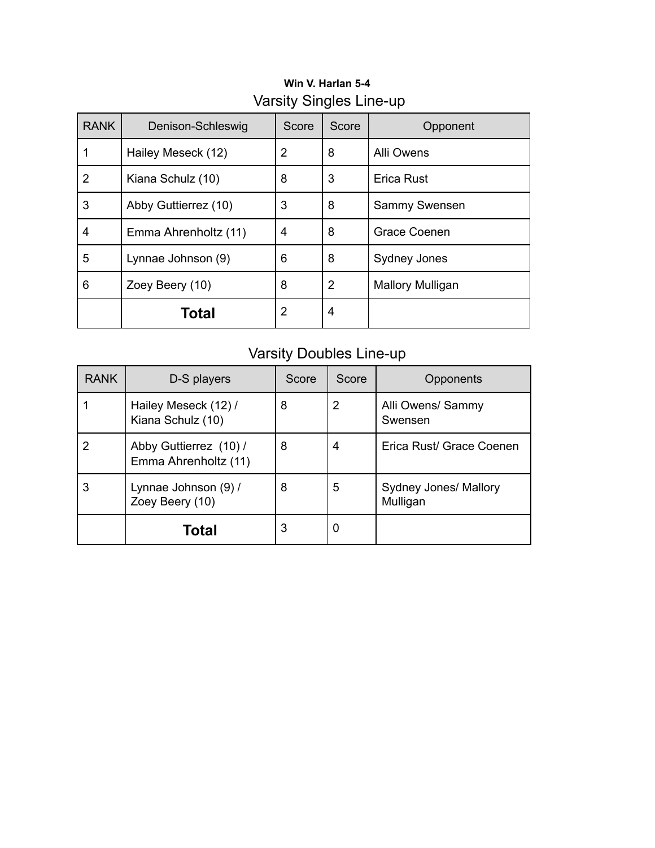| <b>RANK</b> | Denison-Schleswig    | Score          | Score | Opponent                |
|-------------|----------------------|----------------|-------|-------------------------|
|             | Hailey Meseck (12)   | 2              | 8     | <b>Alli Owens</b>       |
| 2           | Kiana Schulz (10)    | 8              | 3     | Erica Rust              |
| 3           | Abby Guttierrez (10) | 3              | 8     | Sammy Swensen           |
| 4           | Emma Ahrenholtz (11) | 4              | 8     | Grace Coenen            |
| 5           | Lynnae Johnson (9)   | 6              | 8     | Sydney Jones            |
| 6           | Zoey Beery (10)      | 8              | 2     | <b>Mallory Mulligan</b> |
|             | Total                | $\overline{2}$ | 4     |                         |

### **Win V. Harlan 5-4** Varsity Singles Line-up

# Varsity Doubles Line-up

| <b>RANK</b> | D-S players                                    | Score | Score | Opponents                                |
|-------------|------------------------------------------------|-------|-------|------------------------------------------|
|             | Hailey Meseck (12) /<br>Kiana Schulz (10)      | 8     | 2     | Alli Owens/ Sammy<br>Swensen             |
| 2           | Abby Guttierrez (10) /<br>Emma Ahrenholtz (11) | 8     | 4     | Erica Rust/ Grace Coenen                 |
| 3           | Lynnae Johnson (9) /<br>Zoey Beery (10)        | 8     | 5     | <b>Sydney Jones/ Mallory</b><br>Mulligan |
|             | Total                                          | 3     | 0     |                                          |